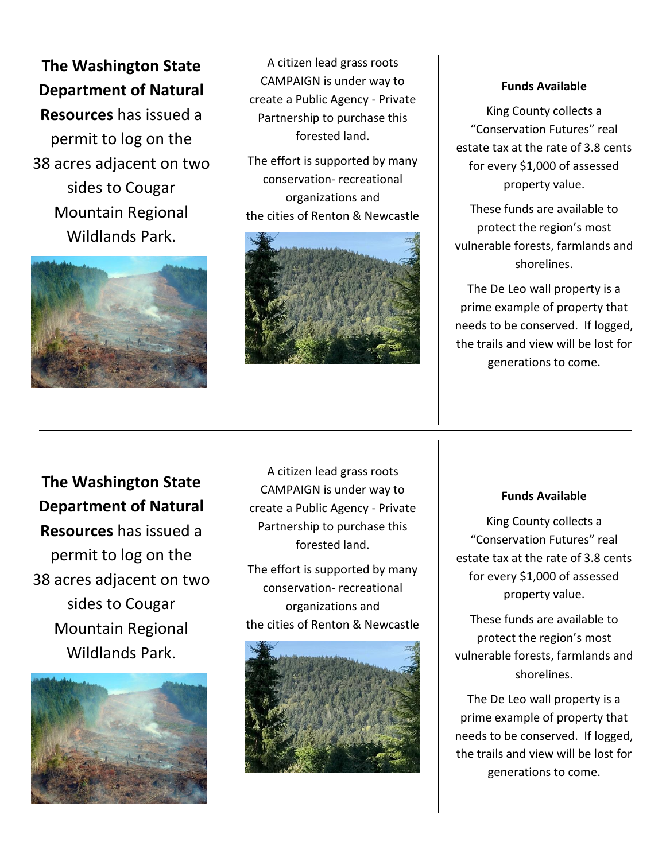**The Washington State Department of Natural Resources** has issued a permit to log on the 38 acres adjacent on two sides to Cougar Mountain Regional Wildlands Park.



A citizen lead grass roots CAMPAIGN is under way to create a Public Agency - Private Partnership to purchase this forested land.

The effort is supported by many conservation- recreational organizations and the cities of Renton & Newcastle



#### **Funds Available**

King County collects a "Conservation Futures" real estate tax at the rate of 3.8 cents for every \$1,000 of assessed property value.

These funds are available to protect the region's most vulnerable forests, farmlands and shorelines.

The De Leo wall property is a prime example of property that needs to be conserved. If logged, the trails and view will be lost for generations to come.

**The Washington State Department of Natural Resources** has issued a permit to log on the 38 acres adjacent on two sides to Cougar Mountain Regional Wildlands Park.



A citizen lead grass roots CAMPAIGN is under way to create a Public Agency - Private Partnership to purchase this forested land.

The effort is supported by many conservation- recreational organizations and the cities of Renton & Newcastle



#### **Funds Available**

King County collects a "Conservation Futures" real estate tax at the rate of 3.8 cents for every \$1,000 of assessed property value.

These funds are available to protect the region's most vulnerable forests, farmlands and shorelines.

The De Leo wall property is a prime example of property that needs to be conserved. If logged, the trails and view will be lost for generations to come.